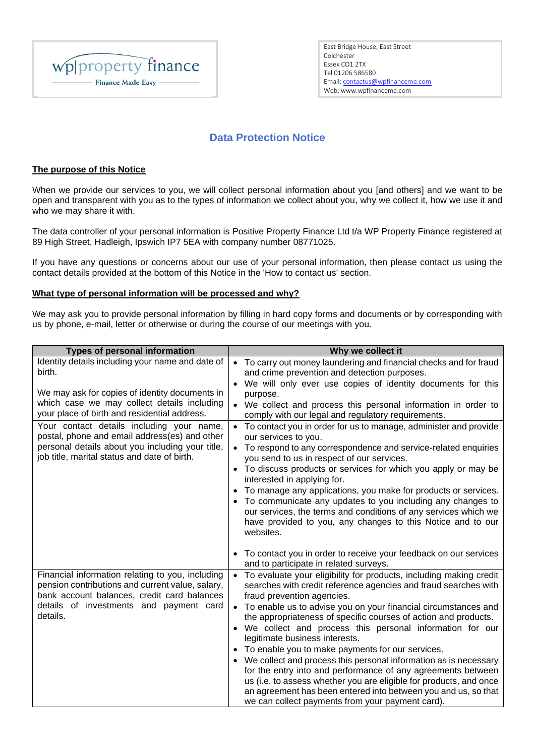

Tel 01206 586580 Email: [contactus@wpfinanceme.com](mailto:contactus@wpfinanceme.com) Web: www.wpfinanceme.com East Bridge House, East Street Colchester Essex CO1 2TX

# **Data Protection Notice**

## **The purpose of this Notice**

When we provide our services to you, we will collect personal information about you [and others] and we want to be open and transparent with you as to the types of information we collect about you, why we collect it, how we use it and who we may share it with.

The data controller of your personal information is Positive Property Finance Ltd t/a WP Property Finance registered at 89 High Street, Hadleigh, Ipswich IP7 5EA with company number 08771025.

If you have any questions or concerns about our use of your personal information, then please contact us using the contact details provided at the bottom of this Notice in the 'How to contact us' section.

## **What type of personal information will be processed and why?**

We may ask you to provide personal information by filling in hard copy forms and documents or by corresponding with us by phone, e-mail, letter or otherwise or during the course of our meetings with you.

| <b>Types of personal information</b>                                                                                                                | Why we collect it                                                                                                                                                                |
|-----------------------------------------------------------------------------------------------------------------------------------------------------|----------------------------------------------------------------------------------------------------------------------------------------------------------------------------------|
| Identity details including your name and date of                                                                                                    | • To carry out money laundering and financial checks and for fraud                                                                                                               |
| birth.                                                                                                                                              | and crime prevention and detection purposes.                                                                                                                                     |
|                                                                                                                                                     | • We will only ever use copies of identity documents for this                                                                                                                    |
| We may ask for copies of identity documents in<br>which case we may collect details including                                                       | purpose.                                                                                                                                                                         |
| your place of birth and residential address.                                                                                                        | • We collect and process this personal information in order to<br>comply with our legal and regulatory requirements.                                                             |
| Your contact details including your name,<br>postal, phone and email address(es) and other                                                          | To contact you in order for us to manage, administer and provide<br>$\bullet$<br>our services to you.                                                                            |
| personal details about you including your title,<br>job title, marital status and date of birth.                                                    | To respond to any correspondence and service-related enquiries<br>$\bullet$<br>you send to us in respect of our services.                                                        |
|                                                                                                                                                     | To discuss products or services for which you apply or may be<br>interested in applying for.                                                                                     |
|                                                                                                                                                     | To manage any applications, you make for products or services.                                                                                                                   |
|                                                                                                                                                     | To communicate any updates to you including any changes to                                                                                                                       |
|                                                                                                                                                     | our services, the terms and conditions of any services which we                                                                                                                  |
|                                                                                                                                                     | have provided to you, any changes to this Notice and to our<br>websites.                                                                                                         |
|                                                                                                                                                     | • To contact you in order to receive your feedback on our services                                                                                                               |
|                                                                                                                                                     | and to participate in related surveys.                                                                                                                                           |
| Financial information relating to you, including<br>pension contributions and current value, salary,<br>bank account balances, credit card balances | To evaluate your eligibility for products, including making credit<br>$\bullet$<br>searches with credit reference agencies and fraud searches with<br>fraud prevention agencies. |
| details of investments and payment card                                                                                                             | • To enable us to advise you on your financial circumstances and                                                                                                                 |
| details.                                                                                                                                            | the appropriateness of specific courses of action and products.                                                                                                                  |
|                                                                                                                                                     | • We collect and process this personal information for our                                                                                                                       |
|                                                                                                                                                     | legitimate business interests.                                                                                                                                                   |
|                                                                                                                                                     | To enable you to make payments for our services.<br>We collect and process this personal information as is necessary                                                             |
|                                                                                                                                                     | for the entry into and performance of any agreements between                                                                                                                     |
|                                                                                                                                                     | us (i.e. to assess whether you are eligible for products, and once                                                                                                               |
|                                                                                                                                                     | an agreement has been entered into between you and us, so that                                                                                                                   |
|                                                                                                                                                     | we can collect payments from your payment card).                                                                                                                                 |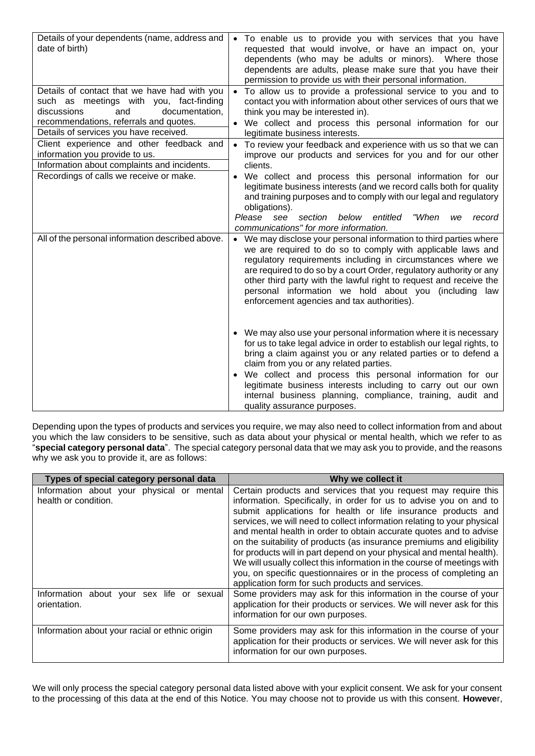| Details of your dependents (name, address and<br>date of birth)                                                                                                                                                     | • To enable us to provide you with services that you have<br>requested that would involve, or have an impact on, your<br>dependents (who may be adults or minors). Where those<br>dependents are adults, please make sure that you have their<br>permission to provide us with their personal information.                                                                                                                                                                                       |
|---------------------------------------------------------------------------------------------------------------------------------------------------------------------------------------------------------------------|--------------------------------------------------------------------------------------------------------------------------------------------------------------------------------------------------------------------------------------------------------------------------------------------------------------------------------------------------------------------------------------------------------------------------------------------------------------------------------------------------|
| Details of contact that we have had with you<br>such as meetings with you, fact-finding<br>documentation,<br>discussions<br>and<br>recommendations, referrals and quotes.<br>Details of services you have received. | • To allow us to provide a professional service to you and to<br>contact you with information about other services of ours that we<br>think you may be interested in).<br>• We collect and process this personal information for our<br>legitimate business interests.                                                                                                                                                                                                                           |
| Client experience and other feedback and<br>information you provide to us.<br>Information about complaints and incidents.<br>Recordings of calls we receive or make.                                                | • To review your feedback and experience with us so that we can<br>improve our products and services for you and for our other<br>clients.<br>We collect and process this personal information for our<br>$\bullet$<br>legitimate business interests (and we record calls both for quality<br>and training purposes and to comply with our legal and regulatory<br>obligations).<br>Please see<br>below<br>"When<br>section<br>entitled<br>record<br>we<br>communications" for more information. |
| All of the personal information described above.                                                                                                                                                                    | • We may disclose your personal information to third parties where<br>we are required to do so to comply with applicable laws and<br>regulatory requirements including in circumstances where we<br>are required to do so by a court Order, regulatory authority or any<br>other third party with the lawful right to request and receive the<br>personal information we hold about you (including law<br>enforcement agencies and tax authorities).                                             |
|                                                                                                                                                                                                                     | • We may also use your personal information where it is necessary<br>for us to take legal advice in order to establish our legal rights, to<br>bring a claim against you or any related parties or to defend a<br>claim from you or any related parties.<br>We collect and process this personal information for our<br>$\bullet$<br>legitimate business interests including to carry out our own<br>internal business planning, compliance, training, audit and<br>quality assurance purposes.  |

Depending upon the types of products and services you require, we may also need to collect information from and about you which the law considers to be sensitive, such as data about your physical or mental health, which we refer to as "**special category personal data**". The special category personal data that we may ask you to provide, and the reasons why we ask you to provide it, are as follows:

| Types of special category personal data                           | Why we collect it                                                                                                                                                                                                                                                                                                                                                                                                                                                                                                                                                                                                                                                                                              |
|-------------------------------------------------------------------|----------------------------------------------------------------------------------------------------------------------------------------------------------------------------------------------------------------------------------------------------------------------------------------------------------------------------------------------------------------------------------------------------------------------------------------------------------------------------------------------------------------------------------------------------------------------------------------------------------------------------------------------------------------------------------------------------------------|
| Information about your physical or mental<br>health or condition. | Certain products and services that you request may require this<br>information. Specifically, in order for us to advise you on and to<br>submit applications for health or life insurance products and<br>services, we will need to collect information relating to your physical<br>and mental health in order to obtain accurate quotes and to advise<br>on the suitability of products (as insurance premiums and eligibility<br>for products will in part depend on your physical and mental health).<br>We will usually collect this information in the course of meetings with<br>you, on specific questionnaires or in the process of completing an<br>application form for such products and services. |
| Information about your sex life or sexual<br>orientation.         | Some providers may ask for this information in the course of your<br>application for their products or services. We will never ask for this<br>information for our own purposes.                                                                                                                                                                                                                                                                                                                                                                                                                                                                                                                               |
| Information about your racial or ethnic origin                    | Some providers may ask for this information in the course of your<br>application for their products or services. We will never ask for this<br>information for our own purposes.                                                                                                                                                                                                                                                                                                                                                                                                                                                                                                                               |

We will only process the special category personal data listed above with your explicit consent. We ask for your consent to the processing of this data at the end of this Notice. You may choose not to provide us with this consent. **Howeve**r,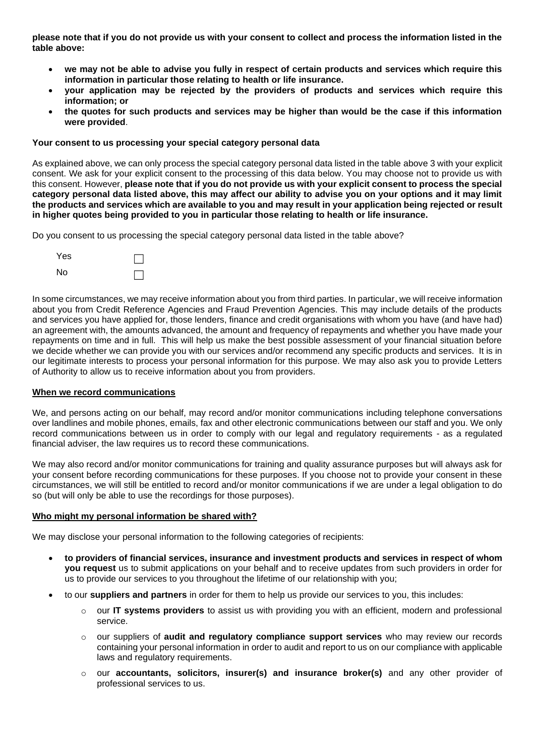**please note that if you do not provide us with your consent to collect and process the information listed in the table above:**

- **we may not be able to advise you fully in respect of certain products and services which require this information in particular those relating to health or life insurance.**
- **your application may be rejected by the providers of products and services which require this information; or**
- **the quotes for such products and services may be higher than would be the case if this information were provided**.

## **Your consent to us processing your special category personal data**

As explained above, we can only process the special category personal data listed in the table above 3 with your explicit consent. We ask for your explicit consent to the processing of this data below. You may choose not to provide us with this consent. However, **please note that if you do not provide us with your explicit consent to process the special category personal data listed above, this may affect our ability to advise you on your options and it may limit the products and services which are available to you and may result in your application being rejected or result in higher quotes being provided to you in particular those relating to health or life insurance.**

Do you consent to us processing the special category personal data listed in the table above?

| Yes |  |
|-----|--|
| No  |  |

In some circumstances, we may receive information about you from third parties. In particular, we will receive information about you from Credit Reference Agencies and Fraud Prevention Agencies. This may include details of the products and services you have applied for, those lenders, finance and credit organisations with whom you have (and have had) an agreement with, the amounts advanced, the amount and frequency of repayments and whether you have made your repayments on time and in full. This will help us make the best possible assessment of your financial situation before we decide whether we can provide you with our services and/or recommend any specific products and services. It is in our legitimate interests to process your personal information for this purpose. We may also ask you to provide Letters of Authority to allow us to receive information about you from providers.

## **When we record communications**

We, and persons acting on our behalf, may record and/or monitor communications including telephone conversations over landlines and mobile phones, emails, fax and other electronic communications between our staff and you. We only record communications between us in order to comply with our legal and regulatory requirements - as a regulated financial adviser, the law requires us to record these communications.

We may also record and/or monitor communications for training and quality assurance purposes but will always ask for your consent before recording communications for these purposes. If you choose not to provide your consent in these circumstances, we will still be entitled to record and/or monitor communications if we are under a legal obligation to do so (but will only be able to use the recordings for those purposes).

## **Who might my personal information be shared with?**

We may disclose your personal information to the following categories of recipients:

- **to providers of financial services, insurance and investment products and services in respect of whom you request** us to submit applications on your behalf and to receive updates from such providers in order for us to provide our services to you throughout the lifetime of our relationship with you;
- to our **suppliers and partners** in order for them to help us provide our services to you, this includes:
	- o our **IT systems providers** to assist us with providing you with an efficient, modern and professional service.
	- o our suppliers of **audit and regulatory compliance support services** who may review our records containing your personal information in order to audit and report to us on our compliance with applicable laws and regulatory requirements.
	- o our **accountants, solicitors, insurer(s) and insurance broker(s)** and any other provider of professional services to us.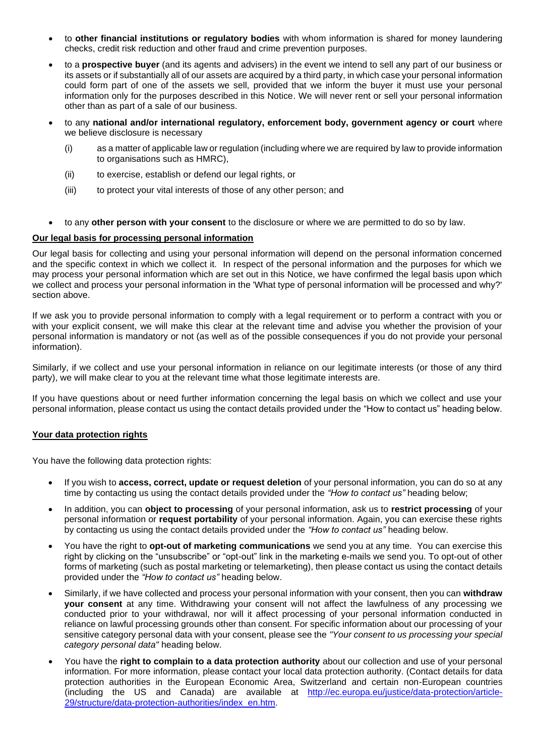- to **other financial institutions or regulatory bodies** with whom information is shared for money laundering checks, credit risk reduction and other fraud and crime prevention purposes.
- to a **prospective buyer** (and its agents and advisers) in the event we intend to sell any part of our business or its assets or if substantially all of our assets are acquired by a third party, in which case your personal information could form part of one of the assets we sell, provided that we inform the buyer it must use your personal information only for the purposes described in this Notice. We will never rent or sell your personal information other than as part of a sale of our business.
- to any **national and/or international regulatory, enforcement body, government agency or court** where we believe disclosure is necessary
	- (i) as a matter of applicable law or regulation (including where we are required by law to provide information to organisations such as HMRC),
	- (ii) to exercise, establish or defend our legal rights, or
	- (iii) to protect your vital interests of those of any other person; and
- to any **other person with your consent** to the disclosure or where we are permitted to do so by law.

## **Our legal basis for processing personal information**

Our legal basis for collecting and using your personal information will depend on the personal information concerned and the specific context in which we collect it. In respect of the personal information and the purposes for which we may process your personal information which are set out in this Notice, we have confirmed the legal basis upon which we collect and process your personal information in the 'What type of personal information will be processed and why?' section above.

If we ask you to provide personal information to comply with a legal requirement or to perform a contract with you or with your explicit consent, we will make this clear at the relevant time and advise you whether the provision of your personal information is mandatory or not (as well as of the possible consequences if you do not provide your personal information).

Similarly, if we collect and use your personal information in reliance on our legitimate interests (or those of any third party), we will make clear to you at the relevant time what those legitimate interests are.

If you have questions about or need further information concerning the legal basis on which we collect and use your personal information, please contact us using the contact details provided under the "How to contact us" heading below.

## **Your data protection rights**

You have the following data protection rights:

- If you wish to **access, correct, update or request deletion** of your personal information, you can do so at any time by contacting us using the contact details provided under the *"How to contact us"* heading below;
- In addition, you can **object to processing** of your personal information, ask us to **restrict processing** of your personal information or **request portability** of your personal information. Again, you can exercise these rights by contacting us using the contact details provided under the *"How to contact us"* heading below.
- You have the right to **opt-out of marketing communications** we send you at any time. You can exercise this right by clicking on the "unsubscribe" or "opt-out" link in the marketing e-mails we send you. To opt-out of other forms of marketing (such as postal marketing or telemarketing), then please contact us using the contact details provided under the *"How to contact us"* heading below.
- Similarly, if we have collected and process your personal information with your consent, then you can **withdraw your consent** at any time. Withdrawing your consent will not affect the lawfulness of any processing we conducted prior to your withdrawal, nor will it affect processing of your personal information conducted in reliance on lawful processing grounds other than consent. For specific information about our processing of your sensitive category personal data with your consent, please see the *"Your consent to us processing your special category personal data"* heading below.
- You have the **right to complain to a data protection authority** about our collection and use of your personal information. For more information, please contact your local data protection authority. (Contact details for data protection authorities in the European Economic Area, Switzerland and certain non-European countries (including the US and Canada) are available at [http://ec.europa.eu/justice/data-protection/article-](http://ec.europa.eu/justice/data-protection/article-29/structure/data-protection-authorities/index_en.htm)[29/structure/data-protection-authorities/index\\_en.htm.](http://ec.europa.eu/justice/data-protection/article-29/structure/data-protection-authorities/index_en.htm)